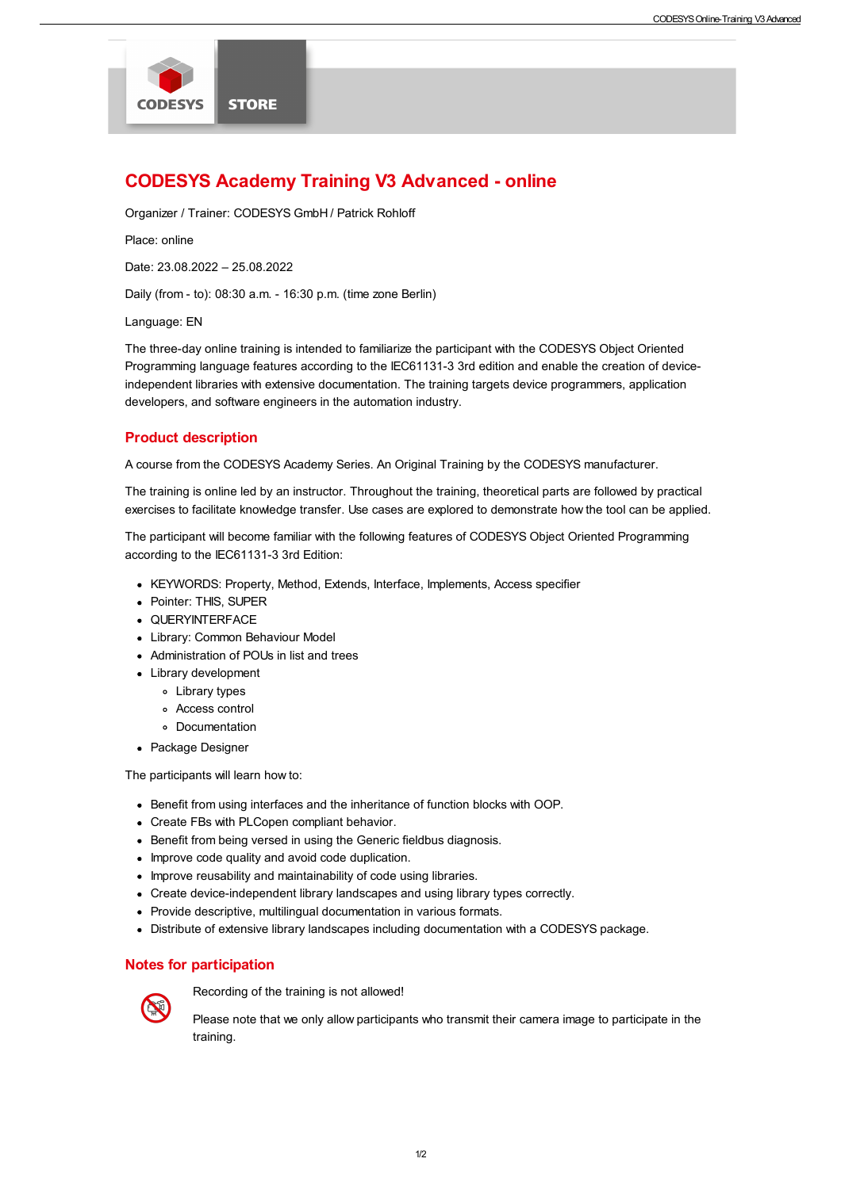

# CODESYS Academy Training V3 Advanced - online

Organizer / Trainer: CODESYS GmbH / Patrick Rohloff

Place: online

Date: 23.08.2022 – 25.08.2022

Daily (from - to): 08:30 a.m. - 16:30 p.m. (time zone Berlin)

Language: EN

The three-day online training is intended to familiarize the participant with the CODESYS Object Oriented Programming language features according to the IEC61131-3 3rd edition and enable the creation of deviceindependent libraries with extensive documentation. The training targets device programmers, application developers, and software engineers in the automation industry.

# Product description

A course from the CODESYS Academy Series. An Original Training by the CODESYS manufacturer.

The training is online led by an instructor. Throughout the training, theoretical parts are followed by practical exercises to facilitate knowledge transfer. Use cases are explored to demonstrate how the tool can be applied.

The participant will become familiar with the following features of CODESYS Object Oriented Programming according to the IEC61131-3 3rd Edition:

- KEYWORDS: Property, Method, Extends, Interface, Implements, Access specifier
- Pointer: THIS, SUPER
- QUERYINTERFACE
- Library: Common Behaviour Model
- Administration of POUs in list and trees
- Library development
	- Library types
	- Access control
	- Documentation
- Package Designer

The participants will learn how to:

- Benefit from using interfaces and the inheritance of function blocks with OOP.
- Create FBs with PLCopen compliant behavior.
- Benefit from being versed in using the Generic fieldbus diagnosis.
- Improve code quality and avoid code duplication.
- Improve reusability and maintainability of code using libraries.
- Create device-independent library landscapes and using library types correctly.
- Provide descriptive, multilingual documentation in various formats.
- Distribute of extensive library landscapes including documentation with a CODESYS package.

# Notes for participation



Recording of the training is not allowed!

Please note that we only allow participants who transmit their camera image to participate in the training.